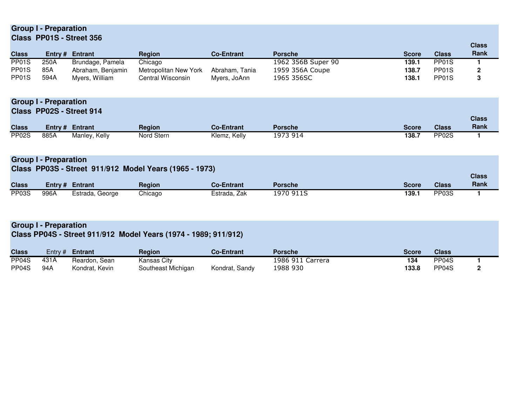# **Group I - PreparationClass PP01S - Street 356**

|              |      |                        |                       |                   |                    |              |                    | <b>Class</b> |
|--------------|------|------------------------|-----------------------|-------------------|--------------------|--------------|--------------------|--------------|
| <b>Class</b> |      | <b>Entry # Entrant</b> | <b>Region</b>         | <b>Co-Entrant</b> | <b>Porsche</b>     | <b>Score</b> | <b>Class</b>       | <b>Rank</b>  |
| PP01S        | 250A | Brundage, Pamela       | Chicago               |                   | 1962 356B Super 90 | 139.1        | PP01S              |              |
| PP01S        | 85A  | Abraham, Benjamin      | Metropolitan New York | Abraham, Tania    | 1959 356A Coupe    | 138.7        | PP01S              |              |
| PP01S        | 594A | Myers, William         | Central Wisconsin     | Myers, JoAnn      | 1965 356SC         | 138.1        | PP <sub>01</sub> S |              |

**Group I - PreparationClass PP02S - Street 914**

|                    |      |                 |               |                   |                |              |                    | ыаээ |
|--------------------|------|-----------------|---------------|-------------------|----------------|--------------|--------------------|------|
| <b>Class</b>       |      | Entry # Entrant | <b>Region</b> | <b>Co-Entrant</b> | <b>Porsche</b> | <b>Score</b> | <b>Class</b>       | Rank |
| PP <sub>02</sub> S | 885A | Manley, Kelly   | Nord Stern    | Klemz, Kelly      | 1973 914       | 138.7        | PP <sub>02</sub> S |      |

**Class**

### **Group I - Preparation**

#### **Class PP03S - Street 911/912 Model Years (1965 - 1973)**

|              |      |                 |               |                   |           |       |              | <b>Class</b> |
|--------------|------|-----------------|---------------|-------------------|-----------|-------|--------------|--------------|
| <b>Class</b> |      | Entry # Entrant | <b>Region</b> | <b>Co-Entrant</b> | Porsche   | Score | <b>Class</b> | Rank         |
| PP03S        | 996A | Estrada, George | Chicago       | Estrada, Zak      | 1970 911S | 139.1 | PP03S        |              |

# **Group I - Preparation**

# **Class PP04S - Street 911/912 Model Years (1974 - 1989; 911/912)**

| <b>Class</b> |      | Entry $#$ <b>Entrant</b> | <b>Region</b>      | <b>Co-Entrant</b> | <b>Porsche</b>   | <b>Score</b> | <b>Class</b>       |  |
|--------------|------|--------------------------|--------------------|-------------------|------------------|--------------|--------------------|--|
| PP04S        | 431A | Reardon, Sean            | Kansas City        |                   | 1986 911 Carrera | 134          | PP <sub>04</sub> S |  |
| PP04S        | 94A  | Kondrat, Kevin           | Southeast Michigan | Kondrat, Sandy    | 1988 930         | 133.8        | PP <sub>04</sub> S |  |